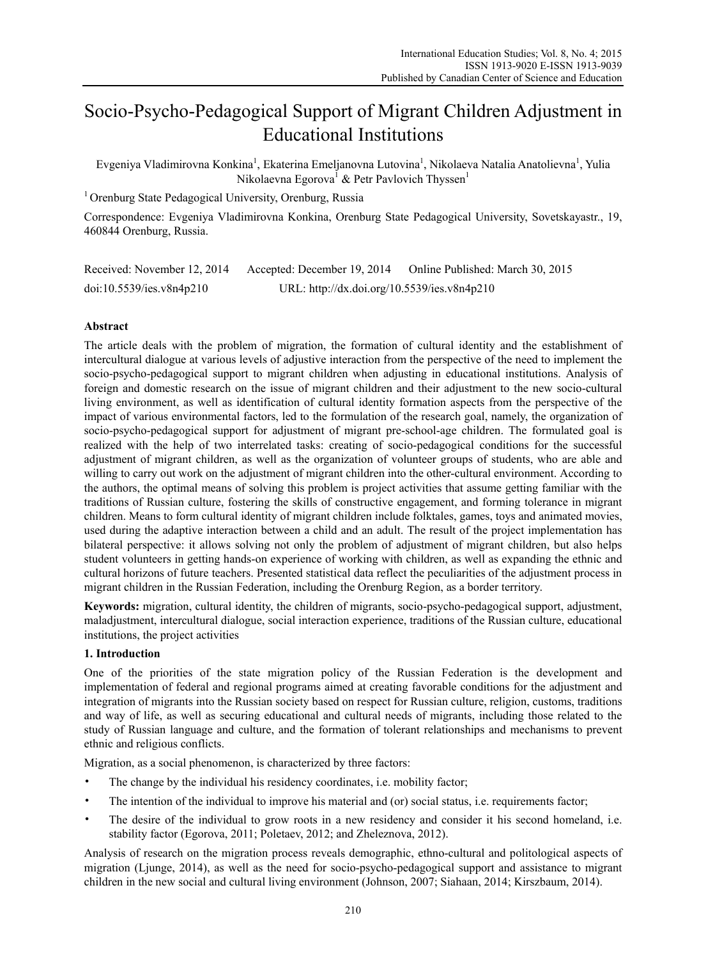# Socio-Psycho-Pedagogical Support of Migrant Children Adjustment in Educational Institutions

Evgeniya Vladimirovna Konkina<sup>1</sup>, Ekaterina Emeljanovna Lutovina<sup>1</sup>, Nikolaeva Natalia Anatolievna<sup>1</sup>, Yulia Nikolaevna Egorova<sup>1</sup> & Petr Pavlovich Thyssen<sup>1</sup>

<sup>1</sup> Orenburg State Pedagogical University, Orenburg, Russia

Correspondence: Evgeniya Vladimirovna Konkina, Orenburg State Pedagogical University, Sovetskayastr., 19, 460844 Orenburg, Russia.

| Received: November 12, 2014 | Accepted: December 19, 2014                 | Online Published: March 30, 2015 |
|-----------------------------|---------------------------------------------|----------------------------------|
| doi:10.5539/ies.v8n4p210    | URL: http://dx.doi.org/10.5539/ies.v8n4p210 |                                  |

# **Abstract**

The article deals with the problem of migration, the formation of cultural identity and the establishment of intercultural dialogue at various levels of adjustive interaction from the perspective of the need to implement the socio-psycho-pedagogical support to migrant children when adjusting in educational institutions. Analysis of foreign and domestic research on the issue of migrant children and their adjustment to the new socio-cultural living environment, as well as identification of cultural identity formation aspects from the perspective of the impact of various environmental factors, led to the formulation of the research goal, namely, the organization of socio-psycho-pedagogical support for adjustment of migrant pre-school-age children. The formulated goal is realized with the help of two interrelated tasks: creating of socio-pedagogical conditions for the successful adjustment of migrant children, as well as the organization of volunteer groups of students, who are able and willing to carry out work on the adjustment of migrant children into the other-cultural environment. According to the authors, the optimal means of solving this problem is project activities that assume getting familiar with the traditions of Russian culture, fostering the skills of constructive engagement, and forming tolerance in migrant children. Means to form cultural identity of migrant children include folktales, games, toys and animated movies, used during the adaptive interaction between a child and an adult. The result of the project implementation has bilateral perspective: it allows solving not only the problem of adjustment of migrant children, but also helps student volunteers in getting hands-on experience of working with children, as well as expanding the ethnic and cultural horizons of future teachers. Presented statistical data reflect the peculiarities of the adjustment process in migrant children in the Russian Federation, including the Orenburg Region, as a border territory.

**Keywords:** migration, cultural identity, the children of migrants, socio-psycho-pedagogical support, adjustment, maladjustment, intercultural dialogue, social interaction experience, traditions of the Russian culture, educational institutions, the project activities

# **1. Introduction**

One of the priorities of the state migration policy of the Russian Federation is the development and implementation of federal and regional programs aimed at creating favorable conditions for the adjustment and integration of migrants into the Russian society based on respect for Russian culture, religion, customs, traditions and way of life, as well as securing educational and cultural needs of migrants, including those related to the study of Russian language and culture, and the formation of tolerant relationships and mechanisms to prevent ethnic and religious conflicts.

Migration, as a social phenomenon, is characterized by three factors:

- The change by the individual his residency coordinates, *i.e.* mobility factor;
- The intention of the individual to improve his material and (or) social status, i.e. requirements factor;
- The desire of the individual to grow roots in a new residency and consider it his second homeland, i.e. stability factor (Egorova, 2011; Poletaev, 2012; and Zheleznova, 2012).

Analysis of research on the migration process reveals demographic, ethno-cultural and politological aspects of migration (Ljunge, 2014), as well as the need for socio-psycho-pedagogical support and assistance to migrant children in the new social and cultural living environment (Johnson, 2007; Siahaan, 2014; Kirszbaum, 2014).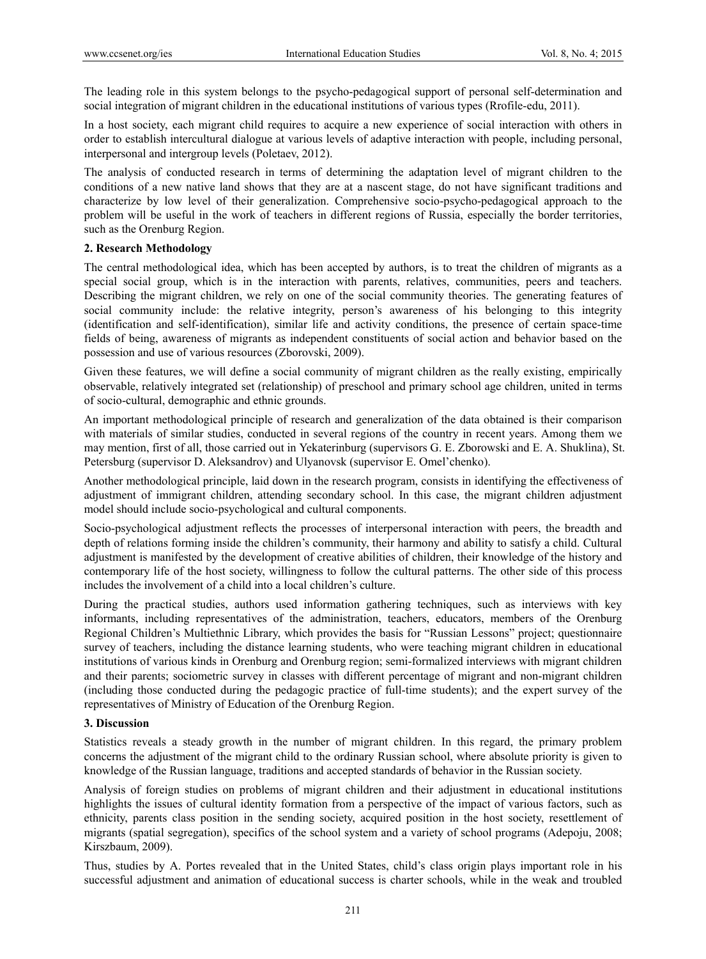The leading role in this system belongs to the psycho-pedagogical support of personal self-determination and social integration of migrant children in the educational institutions of various types (Rrofile-edu, 2011).

In a host society, each migrant child requires to acquire a new experience of social interaction with others in order to establish intercultural dialogue at various levels of adaptive interaction with people, including personal, interpersonal and intergroup levels (Poletaev, 2012).

The analysis of conducted research in terms of determining the adaptation level of migrant children to the conditions of a new native land shows that they are at a nascent stage, do not have significant traditions and characterize by low level of their generalization. Comprehensive socio-psycho-pedagogical approach to the problem will be useful in the work of teachers in different regions of Russia, especially the border territories, such as the Orenburg Region.

#### **2. Research Methodology**

The central methodological idea, which has been accepted by authors, is to treat the children of migrants as a special social group, which is in the interaction with parents, relatives, communities, peers and teachers. Describing the migrant children, we rely on one of the social community theories. The generating features of social community include: the relative integrity, person's awareness of his belonging to this integrity (identification and self-identification), similar life and activity conditions, the presence of certain space-time fields of being, awareness of migrants as independent constituents of social action and behavior based on the possession and use of various resources (Zborovski, 2009).

Given these features, we will define a social community of migrant children as the really existing, empirically observable, relatively integrated set (relationship) of preschool and primary school age children, united in terms of socio-cultural, demographic and ethnic grounds.

An important methodological principle of research and generalization of the data obtained is their comparison with materials of similar studies, conducted in several regions of the country in recent years. Among them we may mention, first of all, those carried out in Yekaterinburg (supervisors G. E. Zborowski and E. A. Shuklina), St. Petersburg (supervisor D. Aleksandrov) and Ulyanovsk (supervisor E. Omel'chenko).

Another methodological principle, laid down in the research program, consists in identifying the effectiveness of adjustment of immigrant children, attending secondary school. In this case, the migrant children adjustment model should include socio-psychological and cultural components.

Socio-psychological adjustment reflects the processes of interpersonal interaction with peers, the breadth and depth of relations forming inside the children's community, their harmony and ability to satisfy a child. Cultural adjustment is manifested by the development of creative abilities of children, their knowledge of the history and contemporary life of the host society, willingness to follow the cultural patterns. The other side of this process includes the involvement of a child into a local children's culture.

During the practical studies, authors used information gathering techniques, such as interviews with key informants, including representatives of the administration, teachers, educators, members of the Orenburg Regional Children's Multiethnic Library, which provides the basis for "Russian Lessons" project; questionnaire survey of teachers, including the distance learning students, who were teaching migrant children in educational institutions of various kinds in Orenburg and Orenburg region; semi-formalized interviews with migrant children and their parents; sociometric survey in classes with different percentage of migrant and non-migrant children (including those conducted during the pedagogic practice of full-time students); and the expert survey of the representatives of Ministry of Education of the Orenburg Region.

### **3. Discussion**

Statistics reveals a steady growth in the number of migrant children. In this regard, the primary problem concerns the adjustment of the migrant child to the ordinary Russian school, where absolute priority is given to knowledge of the Russian language, traditions and accepted standards of behavior in the Russian society.

Analysis of foreign studies on problems of migrant children and their adjustment in educational institutions highlights the issues of cultural identity formation from a perspective of the impact of various factors, such as ethnicity, parents class position in the sending society, acquired position in the host society, resettlement of migrants (spatial segregation), specifics of the school system and a variety of school programs (Adepoju, 2008; Kirszbaum, 2009).

Thus, studies by A. Portes revealed that in the United States, child's class origin plays important role in his successful adjustment and animation of educational success is charter schools, while in the weak and troubled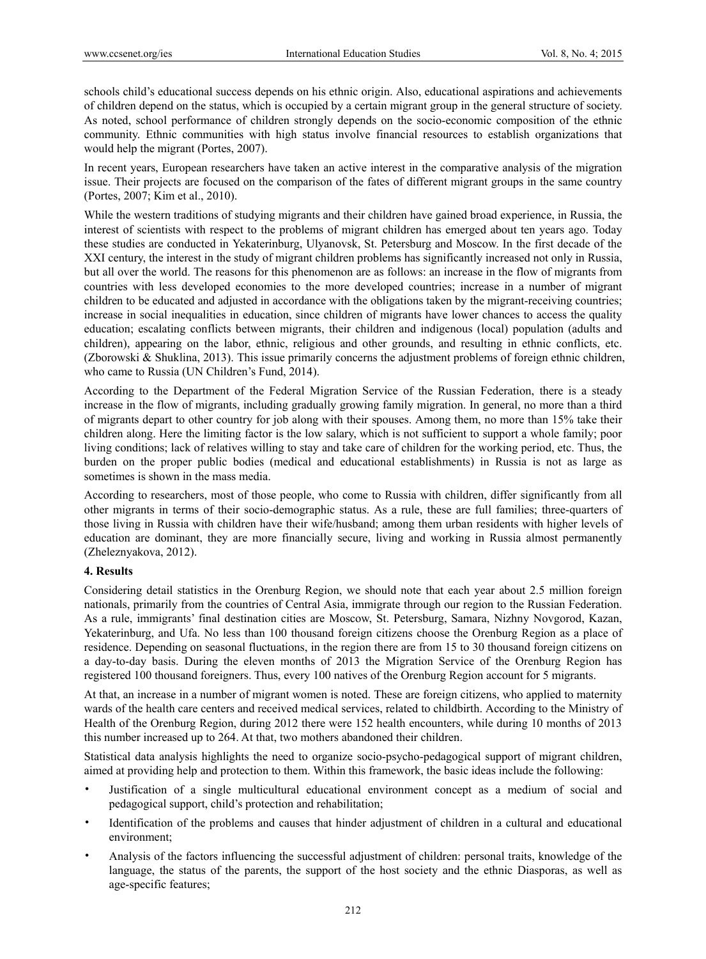schools child's educational success depends on his ethnic origin. Also, educational aspirations and achievements of children depend on the status, which is occupied by a certain migrant group in the general structure of society. As noted, school performance of children strongly depends on the socio-economic composition of the ethnic community. Ethnic communities with high status involve financial resources to establish organizations that would help the migrant (Portes, 2007).

In recent years, European researchers have taken an active interest in the comparative analysis of the migration issue. Their projects are focused on the comparison of the fates of different migrant groups in the same country (Portes, 2007; Kim et al., 2010).

While the western traditions of studying migrants and their children have gained broad experience, in Russia, the interest of scientists with respect to the problems of migrant children has emerged about ten years ago. Today these studies are conducted in Yekaterinburg, Ulyanovsk, St. Petersburg and Moscow. In the first decade of the XXI century, the interest in the study of migrant children problems has significantly increased not only in Russia, but all over the world. The reasons for this phenomenon are as follows: an increase in the flow of migrants from countries with less developed economies to the more developed countries; increase in a number of migrant children to be educated and adjusted in accordance with the obligations taken by the migrant-receiving countries; increase in social inequalities in education, since children of migrants have lower chances to access the quality education; escalating conflicts between migrants, their children and indigenous (local) population (adults and children), appearing on the labor, ethnic, religious and other grounds, and resulting in ethnic conflicts, etc. (Zborowski & Shuklina, 2013). This issue primarily concerns the adjustment problems of foreign ethnic children, who came to Russia (UN Children's Fund, 2014).

According to the Department of the Federal Migration Service of the Russian Federation, there is a steady increase in the flow of migrants, including gradually growing family migration. In general, no more than a third of migrants depart to other country for job along with their spouses. Among them, no more than 15% take their children along. Here the limiting factor is the low salary, which is not sufficient to support a whole family; poor living conditions; lack of relatives willing to stay and take care of children for the working period, etc. Thus, the burden on the proper public bodies (medical and educational establishments) in Russia is not as large as sometimes is shown in the mass media.

According to researchers, most of those people, who come to Russia with children, differ significantly from all other migrants in terms of their socio-demographic status. As a rule, these are full families; three-quarters of those living in Russia with children have their wife/husband; among them urban residents with higher levels of education are dominant, they are more financially secure, living and working in Russia almost permanently (Zheleznyakova, 2012).

# **4. Results**

Considering detail statistics in the Orenburg Region, we should note that each year about 2.5 million foreign nationals, primarily from the countries of Central Asia, immigrate through our region to the Russian Federation. As a rule, immigrants' final destination cities are Moscow, St. Petersburg, Samara, Nizhny Novgorod, Kazan, Yekaterinburg, and Ufa. No less than 100 thousand foreign citizens choose the Orenburg Region as a place of residence. Depending on seasonal fluctuations, in the region there are from 15 to 30 thousand foreign citizens on a day-to-day basis. During the eleven months of 2013 the Migration Service of the Orenburg Region has registered 100 thousand foreigners. Thus, every 100 natives of the Orenburg Region account for 5 migrants.

At that, an increase in a number of migrant women is noted. These are foreign citizens, who applied to maternity wards of the health care centers and received medical services, related to childbirth. According to the Ministry of Health of the Orenburg Region, during 2012 there were 152 health encounters, while during 10 months of 2013 this number increased up to 264. At that, two mothers abandoned their children.

Statistical data analysis highlights the need to organize socio-psycho-pedagogical support of migrant children, aimed at providing help and protection to them. Within this framework, the basic ideas include the following:

- Justification of a single multicultural educational environment concept as a medium of social and pedagogical support, child's protection and rehabilitation;
- Identification of the problems and causes that hinder adjustment of children in a cultural and educational environment;
- Analysis of the factors influencing the successful adjustment of children: personal traits, knowledge of the language, the status of the parents, the support of the host society and the ethnic Diasporas, as well as age-specific features;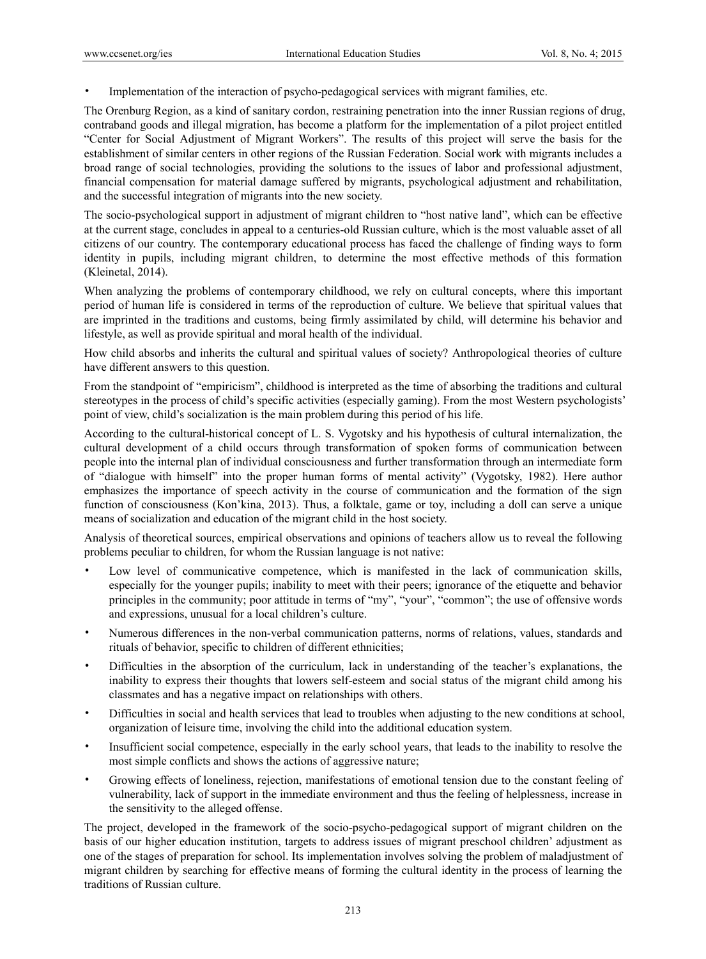• Implementation of the interaction of psycho-pedagogical services with migrant families, etc.

The Orenburg Region, as a kind of sanitary cordon, restraining penetration into the inner Russian regions of drug, contraband goods and illegal migration, has become a platform for the implementation of a pilot project entitled "Center for Social Adjustment of Migrant Workers". The results of this project will serve the basis for the establishment of similar centers in other regions of the Russian Federation. Social work with migrants includes a broad range of social technologies, providing the solutions to the issues of labor and professional adjustment, financial compensation for material damage suffered by migrants, psychological adjustment and rehabilitation, and the successful integration of migrants into the new society.

The socio-psychological support in adjustment of migrant children to "host native land", which can be effective at the current stage, concludes in appeal to a centuries-old Russian culture, which is the most valuable asset of all citizens of our country. The contemporary educational process has faced the challenge of finding ways to form identity in pupils, including migrant children, to determine the most effective methods of this formation (Kleinetal, 2014).

When analyzing the problems of contemporary childhood, we rely on cultural concepts, where this important period of human life is considered in terms of the reproduction of culture. We believe that spiritual values that are imprinted in the traditions and customs, being firmly assimilated by child, will determine his behavior and lifestyle, as well as provide spiritual and moral health of the individual.

How child absorbs and inherits the cultural and spiritual values of society? Anthropological theories of culture have different answers to this question.

From the standpoint of "empiricism", childhood is interpreted as the time of absorbing the traditions and cultural stereotypes in the process of child's specific activities (especially gaming). From the most Western psychologists' point of view, child's socialization is the main problem during this period of his life.

According to the cultural-historical concept of L. S. Vygotsky and his hypothesis of cultural internalization, the cultural development of a child occurs through transformation of spoken forms of communication between people into the internal plan of individual consciousness and further transformation through an intermediate form of "dialogue with himself" into the proper human forms of mental activity" (Vygotsky, 1982). Here author emphasizes the importance of speech activity in the course of communication and the formation of the sign function of consciousness (Kon'kina, 2013). Thus, a folktale, game or toy, including a doll can serve a unique means of socialization and education of the migrant child in the host society.

Analysis of theoretical sources, empirical observations and opinions of teachers allow us to reveal the following problems peculiar to children, for whom the Russian language is not native:

- Low level of communicative competence, which is manifested in the lack of communication skills, especially for the younger pupils; inability to meet with their peers; ignorance of the etiquette and behavior principles in the community; poor attitude in terms of "my", "your", "common"; the use of offensive words and expressions, unusual for a local children's culture.
- Numerous differences in the non-verbal communication patterns, norms of relations, values, standards and rituals of behavior, specific to children of different ethnicities;
- Difficulties in the absorption of the curriculum, lack in understanding of the teacher's explanations, the inability to express their thoughts that lowers self-esteem and social status of the migrant child among his classmates and has a negative impact on relationships with others.
- Difficulties in social and health services that lead to troubles when adjusting to the new conditions at school, organization of leisure time, involving the child into the additional education system.
- Insufficient social competence, especially in the early school years, that leads to the inability to resolve the most simple conflicts and shows the actions of aggressive nature;
- Growing effects of loneliness, rejection, manifestations of emotional tension due to the constant feeling of vulnerability, lack of support in the immediate environment and thus the feeling of helplessness, increase in the sensitivity to the alleged offense.

The project, developed in the framework of the socio-psycho-pedagogical support of migrant children on the basis of our higher education institution, targets to address issues of migrant preschool children' adjustment as one of the stages of preparation for school. Its implementation involves solving the problem of maladjustment of migrant children by searching for effective means of forming the cultural identity in the process of learning the traditions of Russian culture.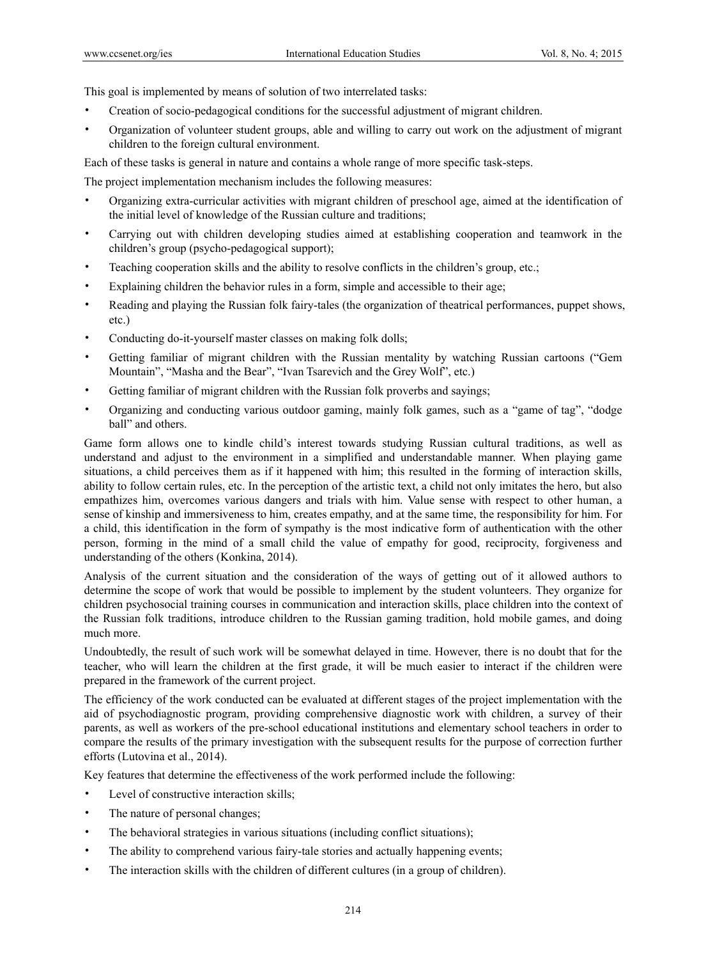This goal is implemented by means of solution of two interrelated tasks:

- Creation of socio-pedagogical conditions for the successful adjustment of migrant children.
- Organization of volunteer student groups, able and willing to carry out work on the adjustment of migrant children to the foreign cultural environment.

Each of these tasks is general in nature and contains a whole range of more specific task-steps.

The project implementation mechanism includes the following measures:

- Organizing extra-curricular activities with migrant children of preschool age, aimed at the identification of the initial level of knowledge of the Russian culture and traditions;
- Carrying out with children developing studies aimed at establishing cooperation and teamwork in the children's group (psycho-pedagogical support);
- Teaching cooperation skills and the ability to resolve conflicts in the children's group, etc.;
- Explaining children the behavior rules in a form, simple and accessible to their age;
- Reading and playing the Russian folk fairy-tales (the organization of theatrical performances, puppet shows, etc.)
- Conducting do-it-yourself master classes on making folk dolls;
- Getting familiar of migrant children with the Russian mentality by watching Russian cartoons ("Gem Mountain", "Masha and the Bear", "Ivan Tsarevich and the Grey Wolf", etc.)
- Getting familiar of migrant children with the Russian folk proverbs and sayings;
- Organizing and conducting various outdoor gaming, mainly folk games, such as a "game of tag", "dodge ball" and others.

Game form allows one to kindle child's interest towards studying Russian cultural traditions, as well as understand and adjust to the environment in a simplified and understandable manner. When playing game situations, a child perceives them as if it happened with him; this resulted in the forming of interaction skills, ability to follow certain rules, etc. In the perception of the artistic text, a child not only imitates the hero, but also empathizes him, overcomes various dangers and trials with him. Value sense with respect to other human, a sense of kinship and immersiveness to him, creates empathy, and at the same time, the responsibility for him. For a child, this identification in the form of sympathy is the most indicative form of authentication with the other person, forming in the mind of a small child the value of empathy for good, reciprocity, forgiveness and understanding of the others (Konkina, 2014).

Analysis of the current situation and the consideration of the ways of getting out of it allowed authors to determine the scope of work that would be possible to implement by the student volunteers. They organize for children psychosocial training courses in communication and interaction skills, place children into the context of the Russian folk traditions, introduce children to the Russian gaming tradition, hold mobile games, and doing much more.

Undoubtedly, the result of such work will be somewhat delayed in time. However, there is no doubt that for the teacher, who will learn the children at the first grade, it will be much easier to interact if the children were prepared in the framework of the current project.

The efficiency of the work conducted can be evaluated at different stages of the project implementation with the aid of psychodiagnostic program, providing comprehensive diagnostic work with children, a survey of their parents, as well as workers of the pre-school educational institutions and elementary school teachers in order to compare the results of the primary investigation with the subsequent results for the purpose of correction further efforts (Lutovina et al., 2014).

Key features that determine the effectiveness of the work performed include the following:

- Level of constructive interaction skills;
- The nature of personal changes;
- The behavioral strategies in various situations (including conflict situations);
- The ability to comprehend various fairy-tale stories and actually happening events;
- The interaction skills with the children of different cultures (in a group of children).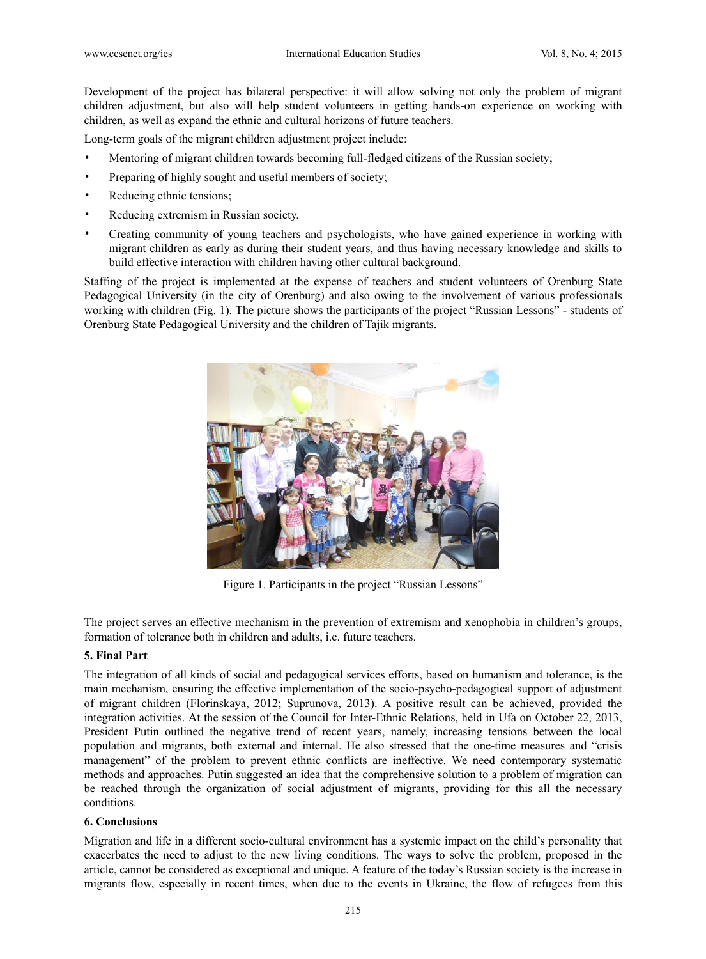Development of the project has bilateral perspective: it will allow solving not only the problem of migrant children adjustment, but also will help student volunteers in getting hands-on experience on working with children, as well as expand the ethnic and cultural horizons of future teachers.

Long-term goals of the migrant children adjustment project include:

- Mentoring of migrant children towards becoming full-fledged citizens of the Russian society;
- Preparing of highly sought and useful members of society;
- Reducing ethnic tensions;
- Reducing extremism in Russian society.
- Creating community of young teachers and psychologists, who have gained experience in working with migrant children as early as during their student years, and thus having necessary knowledge and skills to build effective interaction with children having other cultural background.

Staffing of the project is implemented at the expense of teachers and student volunteers of Orenburg State Pedagogical University (in the city of Orenburg) and also owing to the involvement of various professionals working with children (Fig. 1). The picture shows the participants of the project "Russian Lessons" - students of Orenburg State Pedagogical University and the children of Tajik migrants.



Figure 1. Participants in the project "Russian Lessons"

The project serves an effective mechanism in the prevention of extremism and xenophobia in children's groups, formation of tolerance both in children and adults, i.e. future teachers.

#### **5. Final Part**

The integration of all kinds of social and pedagogical services efforts, based on humanism and tolerance, is the main mechanism, ensuring the effective implementation of the socio-psycho-pedagogical support of adjustment of migrant children (Florinskaya, 2012; Suprunova, 2013). A positive result can be achieved, provided the integration activities. At the session of the Council for Inter-Ethnic Relations, held in Ufa on October 22, 2013, President Putin outlined the negative trend of recent years, namely, increasing tensions between the local population and migrants, both external and internal. He also stressed that the one-time measures and "crisis management" of the problem to prevent ethnic conflicts are ineffective. We need contemporary systematic methods and approaches. Putin suggested an idea that the comprehensive solution to a problem of migration can be reached through the organization of social adjustment of migrants, providing for this all the necessary conditions.

#### **6. Conclusions**

Migration and life in a different socio-cultural environment has a systemic impact on the child's personality that exacerbates the need to adjust to the new living conditions. The ways to solve the problem, proposed in the article, cannot be considered as exceptional and unique. A feature of the today's Russian society is the increase in migrants flow, especially in recent times, when due to the events in Ukraine, the flow of refugees from this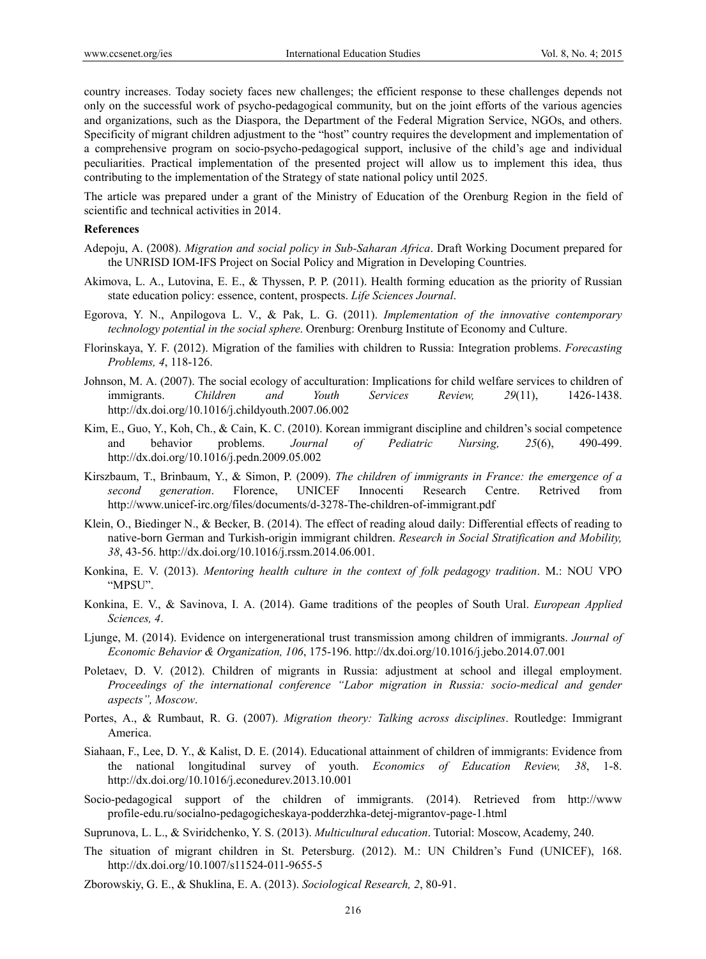country increases. Today society faces new challenges; the efficient response to these challenges depends not only on the successful work of psycho-pedagogical community, but on the joint efforts of the various agencies and organizations, such as the Diaspora, the Department of the Federal Migration Service, NGOs, and others. Specificity of migrant children adjustment to the "host" country requires the development and implementation of a comprehensive program on socio-psycho-pedagogical support, inclusive of the child's age and individual peculiarities. Practical implementation of the presented project will allow us to implement this idea, thus contributing to the implementation of the Strategy of state national policy until 2025.

The article was prepared under a grant of the Ministry of Education of the Orenburg Region in the field of scientific and technical activities in 2014.

#### **References**

- Adepoju, A. (2008). *Migration and social policy in Sub-Saharan Africa*. Draft Working Document prepared for the UNRISD IOM-IFS Project on Social Policy and Migration in Developing Countries.
- Akimоvа, L. A., Lutovina, E. E., & Thyssen, P. P. (2011). Health forming education as the priority of Russian state education policy: essence, content, prospects. *Life Sciences Journal*.
- Egorova, Y. N., Anpilogova L. V., & Pak, L. G. (2011). *Implementation of the innovative contemporary technology potential in the social sphere*. Orenburg: Orenburg Institute of Economy and Culture.
- Florinskaya, Y. F. (2012). Migration of the families with children to Russia: Integration problems. *Forecasting Problems, 4*, 118-126.
- Johnson, M. A. (2007). The social ecology of acculturation: Implications for child welfare services to children of immigrants. *Children and Youth Services Review, 29*(11), 1426-1438. http://dx.doi.org/10.1016/j.childyouth.2007.06.002
- Kim, E., Guo, Y., Koh, Ch., & Cain, K. C. (2010). Korean immigrant discipline and children's social competence and behavior problems. *Journal of Pediatric Nursing, 25*(6), 490-499. http://dx.doi.org/10.1016/j.pedn.2009.05.002
- Kirszbaum, T., Brinbaum, Y., & Simon, P. (2009). *The children of immigrants in France: the emergence of a second generation*. Florence, UNICEF Innocenti Research Centre. Retrived from http://www.unicef-irc.org/files/documents/d-3278-The-children-of-immigrant.pdf
- Klein, O., Biedinger N., & Becker, B. (2014). The effect of reading aloud daily: Differential effects of reading to native-born German and Turkish-origin immigrant children. *Research in Social Stratification and Mobility, 38*, 43-56. http://dx.doi.org/10.1016/j.rssm.2014.06.001.
- Konkina, E. V. (2013). *Mentoring health culture in the context of folk pedagogy tradition*. M.: NOU VPO "MPSU".
- Konkina, E. V., & Savinova, I. A. (2014). Game traditions of the peoples of South Ural. *European Applied Sciences, 4*.
- Ljunge, M. (2014). Evidence on intergenerational trust transmission among children of immigrants. *Journal of Economic Behavior & Organization, 106*, 175-196. http://dx.doi.org/10.1016/j.jebo.2014.07.001
- Poletaev, D. V. (2012). Children of migrants in Russia: adjustment at school and illegal employment. *Proceedings of the international conference "Labor migration in Russia: socio-medical and gender aspects", Moscow*.
- Portes, A., & Rumbaut, R. G. (2007). *Migration theory: Talking across disciplines*. Routledge: Immigrant America.
- Siahaan, F., Lee, D. Y., & Kalist, D. E. (2014). Educational attainment of children of immigrants: Evidence from the national longitudinal survey of youth. *Economics of Education Review, 38*, 1-8. http://dx.doi.org/10.1016/j.econedurev.2013.10.001
- Socio-pedagogical support of the children of immigrants. (2014). Retrieved from http://www profile-edu.ru/socialno-pedagogicheskaya-podderzhka-detej-migrantov-page-1.html
- Suprunova, L. L., & Sviridchenko, Y. S. (2013). *Multicultural education*. Tutorial: Moscow, Academy, 240.
- The situation of migrant children in St. Petersburg. (2012). M.: UN Children's Fund (UNICEF), 168. http://dx.doi.org/10.1007/s11524-011-9655-5
- Zborowskiy, G. E., & Shuklina, E. A. (2013). *Sociological Research, 2*, 80-91.